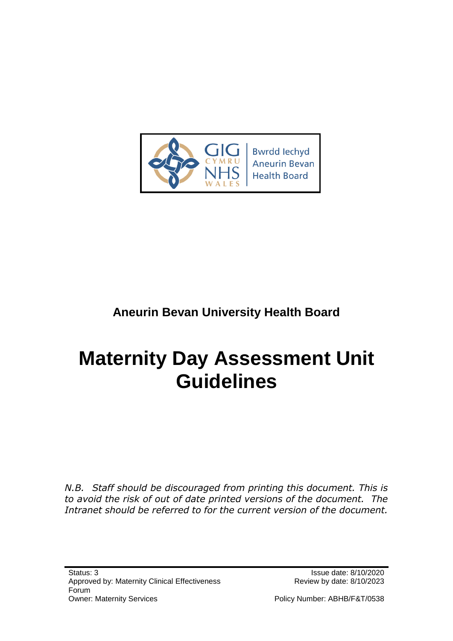

## **Aneurin Bevan University Health Board**

# **Maternity Day Assessment Unit Guidelines**

*N.B. Staff should be discouraged from printing this document. This is to avoid the risk of out of date printed versions of the document. The Intranet should be referred to for the current version of the document.*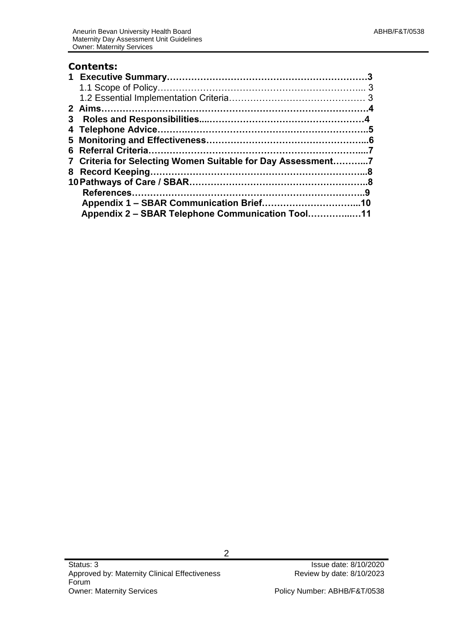#### **Contents:**

|  | 7 Criteria for Selecting Women Suitable for Day Assessment7 |  |  |  |  |
|--|-------------------------------------------------------------|--|--|--|--|
|  |                                                             |  |  |  |  |
|  |                                                             |  |  |  |  |
|  |                                                             |  |  |  |  |
|  |                                                             |  |  |  |  |
|  | Appendix 2 – SBAR Telephone Communication Tool11            |  |  |  |  |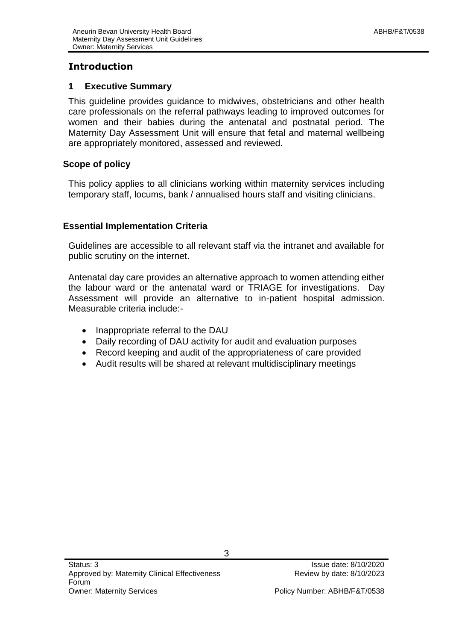#### **Introduction**

#### **1 Executive Summary**

This guideline provides guidance to midwives, obstetricians and other health care professionals on the referral pathways leading to improved outcomes for women and their babies during the antenatal and postnatal period. The Maternity Day Assessment Unit will ensure that fetal and maternal wellbeing are appropriately monitored, assessed and reviewed.

#### **Scope of policy**

This policy applies to all clinicians working within maternity services including temporary staff, locums, bank / annualised hours staff and visiting clinicians.

#### **Essential Implementation Criteria**

Guidelines are accessible to all relevant staff via the intranet and available for public scrutiny on the internet.

Antenatal day care provides an alternative approach to women attending either the labour ward or the antenatal ward or TRIAGE for investigations. Day Assessment will provide an alternative to in-patient hospital admission. Measurable criteria include:-

- Inappropriate referral to the DAU
- Daily recording of DAU activity for audit and evaluation purposes
- Record keeping and audit of the appropriateness of care provided
- Audit results will be shared at relevant multidisciplinary meetings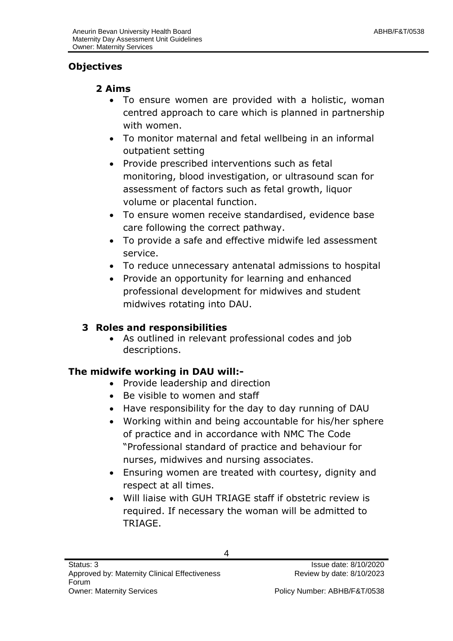## **Objectives**

## **2 Aims**

- To ensure women are provided with a holistic, woman centred approach to care which is planned in partnership with women.
- To monitor maternal and fetal wellbeing in an informal outpatient setting
- Provide prescribed interventions such as fetal monitoring, blood investigation, or ultrasound scan for assessment of factors such as fetal growth, liquor volume or placental function.
- To ensure women receive standardised, evidence base care following the correct pathway.
- To provide a safe and effective midwife led assessment service.
- To reduce unnecessary antenatal admissions to hospital
- Provide an opportunity for learning and enhanced professional development for midwives and student midwives rotating into DAU.

## **3 Roles and responsibilities**

 As outlined in relevant professional codes and job descriptions.

## **The midwife working in DAU will:-**

- Provide leadership and direction
- Be visible to women and staff
- Have responsibility for the day to day running of DAU
- Working within and being accountable for his/her sphere of practice and in accordance with NMC The Code "Professional standard of practice and behaviour for nurses, midwives and nursing associates.
- Ensuring women are treated with courtesy, dignity and respect at all times.
- Will liaise with GUH TRIAGE staff if obstetric review is required. If necessary the woman will be admitted to TRIAGE.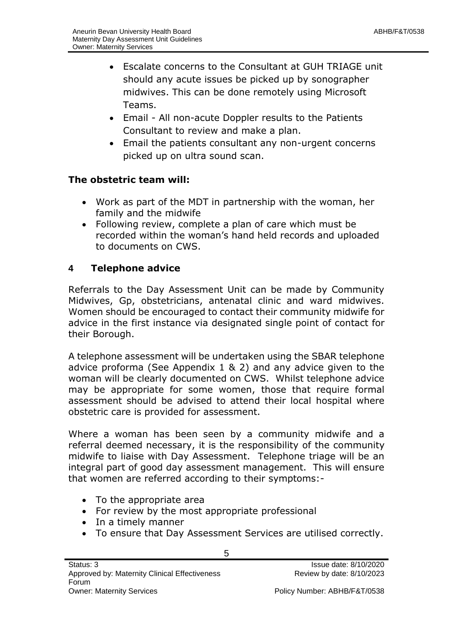- Escalate concerns to the Consultant at GUH TRIAGE unit should any acute issues be picked up by sonographer midwives. This can be done remotely using Microsoft Teams.
- Email All non-acute Doppler results to the Patients Consultant to review and make a plan.
- Email the patients consultant any non-urgent concerns picked up on ultra sound scan.

#### **The obstetric team will:**

- Work as part of the MDT in partnership with the woman, her family and the midwife
- Following review, complete a plan of care which must be recorded within the woman's hand held records and uploaded to documents on CWS.

#### **4 Telephone advice**

Referrals to the Day Assessment Unit can be made by Community Midwives, Gp, obstetricians, antenatal clinic and ward midwives. Women should be encouraged to contact their community midwife for advice in the first instance via designated single point of contact for their Borough.

A telephone assessment will be undertaken using the SBAR telephone advice proforma (See Appendix 1 & 2) and any advice given to the woman will be clearly documented on CWS. Whilst telephone advice may be appropriate for some women, those that require formal assessment should be advised to attend their local hospital where obstetric care is provided for assessment.

Where a woman has been seen by a community midwife and a referral deemed necessary, it is the responsibility of the community midwife to liaise with Day Assessment. Telephone triage will be an integral part of good day assessment management. This will ensure that women are referred according to their symptoms:-

- To the appropriate area
- For review by the most appropriate professional
- In a timely manner
- To ensure that Day Assessment Services are utilised correctly.

5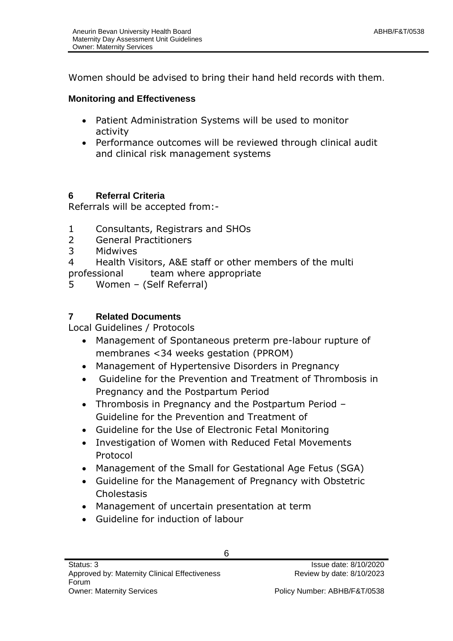Women should be advised to bring their hand held records with them.

#### **Monitoring and Effectiveness**

- Patient Administration Systems will be used to monitor activity
- Performance outcomes will be reviewed through clinical audit and clinical risk management systems

#### **6 Referral Criteria**

Referrals will be accepted from:-

- 1 Consultants, Registrars and SHOs
- 2 General Practitioners
- 3 Midwives
- 4 Health Visitors, A&E staff or other members of the multi professional team where appropriate
- 5 Women (Self Referral)

#### **7 Related Documents**

Local Guidelines / Protocols

- Management of Spontaneous preterm pre-labour rupture of membranes <34 weeks gestation (PPROM)
- Management of Hypertensive Disorders in Pregnancy
- Guideline for the Prevention and Treatment of Thrombosis in Pregnancy and the Postpartum Period
- Thrombosis in Pregnancy and the Postpartum Period Guideline for the Prevention and Treatment of
- Guideline for the Use of Electronic Fetal Monitoring
- Investigation of Women with Reduced Fetal Movements Protocol
- Management of the Small for Gestational Age Fetus (SGA)
- Guideline for the Management of Pregnancy with Obstetric Cholestasis
- Management of uncertain presentation at term
- Guideline for induction of labour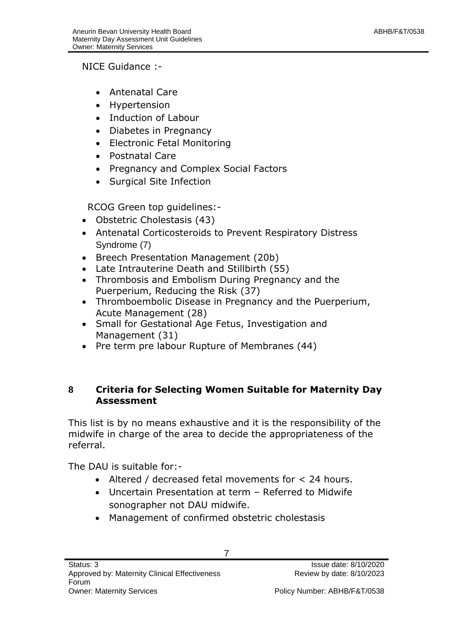NICE Guidance :-

- Antenatal Care
- Hypertension
- Induction of Labour
- Diabetes in Pregnancy
- Electronic Fetal Monitoring
- Postnatal Care
- Pregnancy and Complex Social Factors
- Surgical Site Infection

RCOG Green top guidelines:-

- Obstetric Cholestasis (43)
- Antenatal Corticosteroids to Prevent Respiratory Distress Syndrome (7)
- Breech Presentation Management (20b)
- Late Intrauterine Death and Stillbirth (55)
- Thrombosis and Embolism During Pregnancy and the Puerperium, Reducing the Risk (37)
- Thromboembolic Disease in Pregnancy and the Puerperium, Acute Management (28)
- Small for Gestational Age Fetus, Investigation and Management (31)
- Pre term pre labour Rupture of Membranes (44)

#### **8 Criteria for Selecting Women Suitable for Maternity Day Assessment**

This list is by no means exhaustive and it is the responsibility of the midwife in charge of the area to decide the appropriateness of the referral.

The DAU is suitable for:-

- Altered / decreased fetal movements for < 24 hours.
- Uncertain Presentation at term Referred to Midwife sonographer not DAU midwife.
- Management of confirmed obstetric cholestasis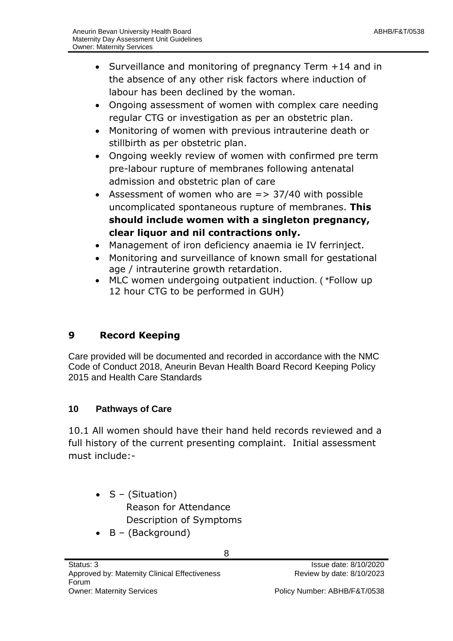- Surveillance and monitoring of pregnancy Term +14 and in the absence of any other risk factors where induction of labour has been declined by the woman.
- Ongoing assessment of women with complex care needing regular CTG or investigation as per an obstetric plan.
- Monitoring of women with previous intrauterine death or stillbirth as per obstetric plan.
- Ongoing weekly review of women with confirmed pre term pre-labour rupture of membranes following antenatal admission and obstetric plan of care
- Assessment of women who are  $\epsilon$  = > 37/40 with possible uncomplicated spontaneous rupture of membranes. **This should include women with a singleton pregnancy, clear liquor and nil contractions only.**
- Management of iron deficiency anaemia ie IV ferrinject.
- Monitoring and surveillance of known small for gestational age / intrauterine growth retardation.
- MLC women undergoing outpatient induction. ( \*Follow up 12 hour CTG to be performed in GUH)

## **9 Record Keeping**

Care provided will be documented and recorded in accordance with the NMC Code of Conduct 2018, Aneurin Bevan Health Board Record Keeping Policy 2015 and Health Care Standards

## **10 Pathways of Care**

10.1 All women should have their hand held records reviewed and a full history of the current presenting complaint. Initial assessment must include:-

- $\bullet$  S (Situation) Reason for Attendance Description of Symptoms
- $\bullet$  B (Background)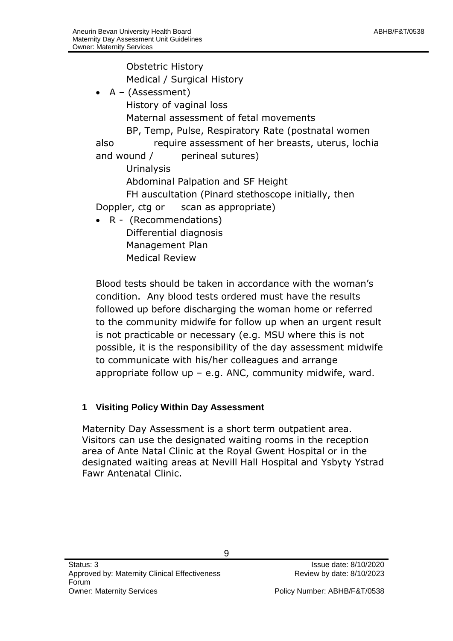Obstetric History Medical / Surgical History A – (Assessment) History of vaginal loss Maternal assessment of fetal movements BP, Temp, Pulse, Respiratory Rate (postnatal women also require assessment of her breasts, uterus, lochia and wound / perineal sutures) **Urinalysis** Abdominal Palpation and SF Height FH auscultation (Pinard stethoscope initially, then Doppler, ctg or scan as appropriate) R - (Recommendations) Differential diagnosis Management Plan Medical Review

Blood tests should be taken in accordance with the woman's condition. Any blood tests ordered must have the results followed up before discharging the woman home or referred to the community midwife for follow up when an urgent result is not practicable or necessary (e.g. MSU where this is not possible, it is the responsibility of the day assessment midwife to communicate with his/her colleagues and arrange appropriate follow  $up - e.g.$  ANC, community midwife, ward.

#### **1 Visiting Policy Within Day Assessment**

Maternity Day Assessment is a short term outpatient area. Visitors can use the designated waiting rooms in the reception area of Ante Natal Clinic at the Royal Gwent Hospital or in the designated waiting areas at Nevill Hall Hospital and Ysbyty Ystrad Fawr Antenatal Clinic.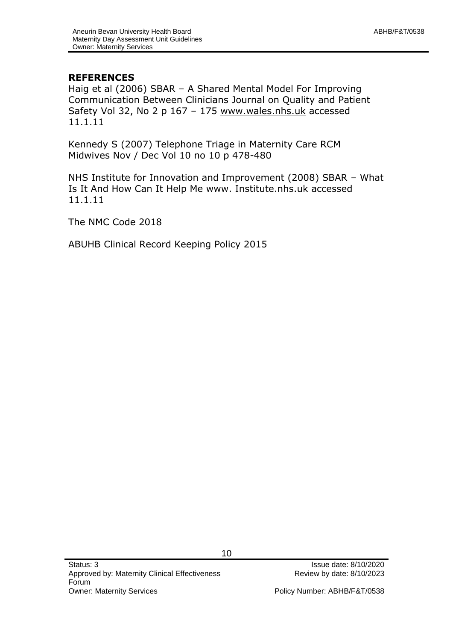#### **REFERENCES**

Haig et al (2006) SBAR – A Shared Mental Model For Improving Communication Between Clinicians Journal on Quality and Patient Safety Vol 32, No 2 p 167 – 175 [www.wales.nhs.uk](http://www.wales.nhs.uk/) accessed 11.1.11

Kennedy S (2007) Telephone Triage in Maternity Care RCM Midwives Nov / Dec Vol 10 no 10 p 478-480

NHS Institute for Innovation and Improvement (2008) SBAR – What Is It And How Can It Help Me www. Institute.nhs.uk accessed 11.1.11

The NMC Code 2018

ABUHB Clinical Record Keeping Policy 2015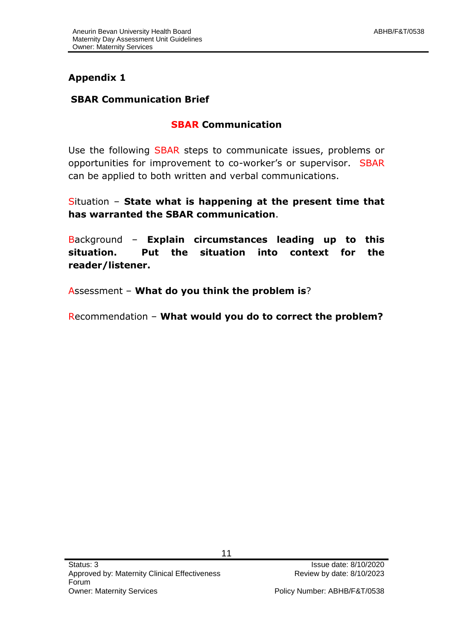## **Appendix 1**

#### **SBAR Communication Brief**

#### **SBAR Communication**

Use the following SBAR steps to communicate issues, problems or opportunities for improvement to co-worker's or supervisor. SBAR can be applied to both written and verbal communications.

Situation – **State what is happening at the present time that has warranted the SBAR communication**.

Background – **Explain circumstances leading up to this situation. Put the situation into context for the reader/listener.**

Assessment – **What do you think the problem is**?

Recommendation – **What would you do to correct the problem?**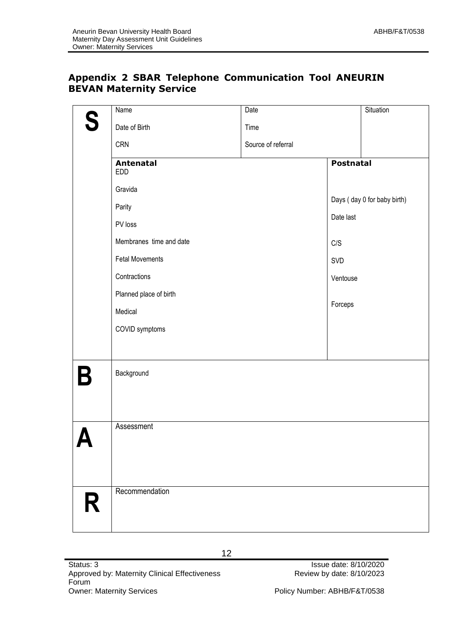#### **Appendix 2 SBAR Telephone Communication Tool ANEURIN BEVAN Maternity Service**

| S | <b>Name</b>                    | Date               |                  | Situation                   |
|---|--------------------------------|--------------------|------------------|-----------------------------|
|   | Date of Birth                  | Time               |                  |                             |
|   | <b>CRN</b>                     | Source of referral |                  |                             |
|   | <b>Antenatal</b><br><b>EDD</b> |                    | <b>Postnatal</b> |                             |
|   | Gravida                        |                    |                  |                             |
|   | Parity                         |                    |                  | Days (day 0 for baby birth) |
|   | PV loss                        |                    | Date last        |                             |
|   | Membranes time and date        |                    | C/S              |                             |
|   | <b>Fetal Movements</b>         |                    | SVD              |                             |
|   | Contractions                   |                    | Ventouse         |                             |
|   | Planned place of birth         |                    |                  |                             |
|   | Medical                        |                    | Forceps          |                             |
|   | COVID symptoms                 |                    |                  |                             |
|   |                                |                    |                  |                             |
| B | Background                     |                    |                  |                             |
|   |                                |                    |                  |                             |
|   | Assessment                     |                    |                  |                             |
| R | Recommendation                 |                    |                  |                             |
|   |                                |                    |                  |                             |

12

Review by date: 8/10/2023

Policy Number: ABHB/F&T/0538